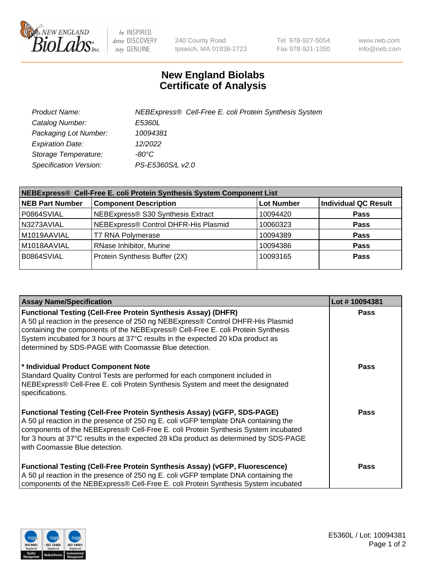

 $be$  INSPIRED drive DISCOVERY stay GENUINE

240 County Road Ipswich, MA 01938-2723 Tel 978-927-5054 Fax 978-921-1350 www.neb.com info@neb.com

## **New England Biolabs Certificate of Analysis**

| Product Name:           | NEBExpress® Cell-Free E. coli Protein Synthesis System |
|-------------------------|--------------------------------------------------------|
| Catalog Number:         | E5360L                                                 |
| Packaging Lot Number:   | 10094381                                               |
| <b>Expiration Date:</b> | 12/2022                                                |
| Storage Temperature:    | -80°C.                                                 |
| Specification Version:  | PS-E5360S/L v2.0                                       |

| NEBExpress® Cell-Free E. coli Protein Synthesis System Component List |                                      |                   |                             |  |
|-----------------------------------------------------------------------|--------------------------------------|-------------------|-----------------------------|--|
| <b>NEB Part Number</b>                                                | <b>Component Description</b>         | <b>Lot Number</b> | <b>Individual QC Result</b> |  |
| P0864SVIAL                                                            | NEBExpress® S30 Synthesis Extract    | 10094420          | <b>Pass</b>                 |  |
| N3273AVIAL                                                            | NEBExpress® Control DHFR-His Plasmid | 10060323          | <b>Pass</b>                 |  |
| M1019AAVIAL                                                           | <b>T7 RNA Polymerase</b>             | 10094389          | <b>Pass</b>                 |  |
| M1018AAVIAL                                                           | <b>RNase Inhibitor, Murine</b>       | 10094386          | <b>Pass</b>                 |  |
| B0864SVIAL                                                            | Protein Synthesis Buffer (2X)        | 10093165          | <b>Pass</b>                 |  |
|                                                                       |                                      |                   |                             |  |

| <b>Assay Name/Specification</b>                                                                                                                                                                                                                                                                                                                                                        | Lot #10094381 |
|----------------------------------------------------------------------------------------------------------------------------------------------------------------------------------------------------------------------------------------------------------------------------------------------------------------------------------------------------------------------------------------|---------------|
| <b>Functional Testing (Cell-Free Protein Synthesis Assay) (DHFR)</b><br>A 50 µl reaction in the presence of 250 ng NEBExpress® Control DHFR-His Plasmid<br>containing the components of the NEBExpress® Cell-Free E. coli Protein Synthesis<br>System incubated for 3 hours at 37°C results in the expected 20 kDa product as<br>determined by SDS-PAGE with Coomassie Blue detection. | <b>Pass</b>   |
| * Individual Product Component Note<br>Standard Quality Control Tests are performed for each component included in<br>NEBExpress® Cell-Free E. coli Protein Synthesis System and meet the designated<br>specifications.                                                                                                                                                                | <b>Pass</b>   |
| <b>Functional Testing (Cell-Free Protein Synthesis Assay) (vGFP, SDS-PAGE)</b><br>A 50 µl reaction in the presence of 250 ng E. coli vGFP template DNA containing the<br>components of the NEBExpress® Cell-Free E. coli Protein Synthesis System incubated<br>for 3 hours at 37°C results in the expected 28 kDa product as determined by SDS-PAGE<br>with Coomassie Blue detection.  | <b>Pass</b>   |
| <b>Functional Testing (Cell-Free Protein Synthesis Assay) (vGFP, Fluorescence)</b><br>A 50 µl reaction in the presence of 250 ng E. coli vGFP template DNA containing the<br>components of the NEBExpress® Cell-Free E. coli Protein Synthesis System incubated                                                                                                                        | <b>Pass</b>   |